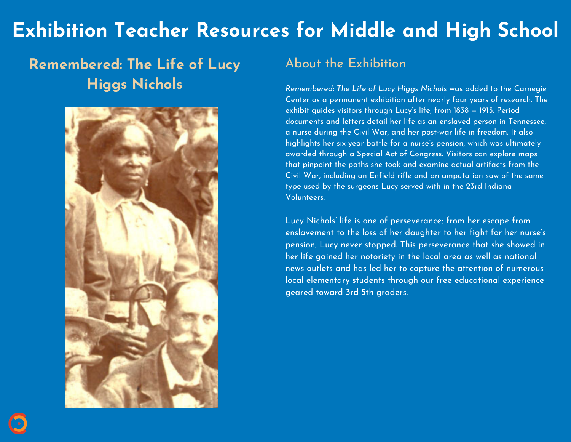# **Exhibition Teacher Resources for Middle and High School**

## **Remembered: The Life of Lucy Higgs Nichols**



### About the Exhibition

*Remembered: The Life of Lucy Higgs Nichols* was added to the Carnegie Center as a permanent exhibition after nearly four years of research. The exhibit guides visitors through Lucy's life, from 1838 — 1915. Period documents and letters detail her life as an enslaved person in Tennessee, a nurse during the Civil War, and her post-war life in freedom. It also highlights her six year battle for a nurse's pension, which was ultimately awarded through a Special Act of Congress. Visitors can explore maps that pinpoint the paths she took and examine actual artifacts from the Civil War, including an Enfield rifle and an amputation saw of the same type used by the surgeons Lucy served with in the 23rd Indiana Volunteers.

Lucy Nichols' life is one of perseverance; from her escape from enslavement to the loss of her daughter to her fight for her nurse's pension, Lucy never stopped. This perseverance that she showed in her life gained her notoriety in the local area as well as national news outlets and has led her to capture the attention of numerous local elementary students through our free educational experience geared toward 3rd-5th graders.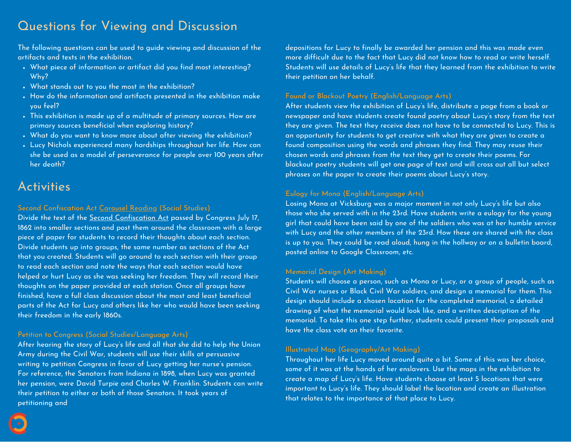### Questions for Viewing and Discussion

The following questions can be used to guide viewing and discussion of the artifacts and texts in the exhibition.

- What piece of information or artifact did you find most interesting? Why?
- . What stands out to you the most in the exhibition?
- How do the information and artifacts presented in the exhibition make you feel?
- This exhibition is made up of a multitude of primary sources. How are primary sources beneficial when exploring history?
- What do you want to know more about after viewing the exhibition?
- Lucy Nichols experienced many hardships throughout her life. How can she be used as a model of perseverance for people over 100 years after her death?

### **Activities**

#### Second Confiscation Act [Carousel](https://shelleygrayteaching.com/carousel/) Reading (Social Studies)

Divide the text of the Second [Confiscation](http://www.freedmen.umd.edu/conact2.htm) Act passed by Congress July 17, 1862 into smaller sections and post them around the classroom with a large piece of paper for students to record their thoughts about each section. Divide students up into groups, the same number as sections of the Act that you created. Students will go around to each section with their group to read each section and note the ways that each section would have helped or hurt Lucy as she was seeking her freedom. They will record their thoughts on the paper provided at each station. Once all groups have finished, have a full class discussion about the most and least beneficial parts of the Act for Lucy and others like her who would have been seeking their freedom in the early 1860s.

#### Petition to Congress (Social Studies/Language Arts)

After hearing the story of Lucy's life and all that she did to help the Union Army during the Civil War, students will use their skills at persuasive writing to petition Congress in favor of Lucy getting her nurse's pension. For reference, the Senators from Indiana in 1898, when Lucy was granted her pension, were David Turpie and Charles W. Franklin. Students can write their petition to either or both of those Senators. It took years of petitioning and

depositions for Lucy to finally be awarded her pension and this was made even more difficult due to the fact that Lucy did not know how to read or write herself. Students will use details of Lucy's life that they learned from the exhibition to write their petition on her behalf.

#### Found or Blackout Poetry (English/Language Arts)

After students view the exhibition of Lucy's life, distribute a page from a book or newspaper and have students create found poetry about Lucy's story from the text they are given. The text they receive does not have to be connected to Lucy. This is an opportunity for students to get creative with what they are given to create a found composition using the words and phrases they find. They may reuse their chosen words and phrases from the text they get to create their poems. For blackout poetry students will get one page of text and will cross out all but select phrases on the paper to create their poems about Lucy's story.

#### Eulogy for Mona (English/Language Arts)

Losing Mona at Vicksburg was a major moment in not only Lucy's life but also those who she served with in the 23rd. Have students write a eulogy for the young girl that could have been said by one of the soldiers who was at her humble service with Lucy and the other members of the 23rd. How these are shared with the class is up to you. They could be read aloud, hung in the hallway or on a bulletin board, posted online to Google Classroom, etc.

#### Memorial Design (Art Making)

Students will choose a person, such as Mona or Lucy, or a group of people, such as Civil War nurses or Black Civil War soldiers, and design a memorial for them. This design should include a chosen location for the completed memorial, a detailed drawing of what the memorial would look like, and a written description of the memorial. To take this one step further, students could present their proposals and have the class vote on their favorite.

#### Illustrated Map (Geography/Art Making)

Throughout her life Lucy moved around quite a bit. Some of this was her choice, some of it was at the hands of her enslavers. Use the maps in the exhibition to create a map of Lucy's life. Have students choose at least 5 locations that were important to Lucy's life. They should label the location and create an illustration that relates to the importance of that place to Lucy.